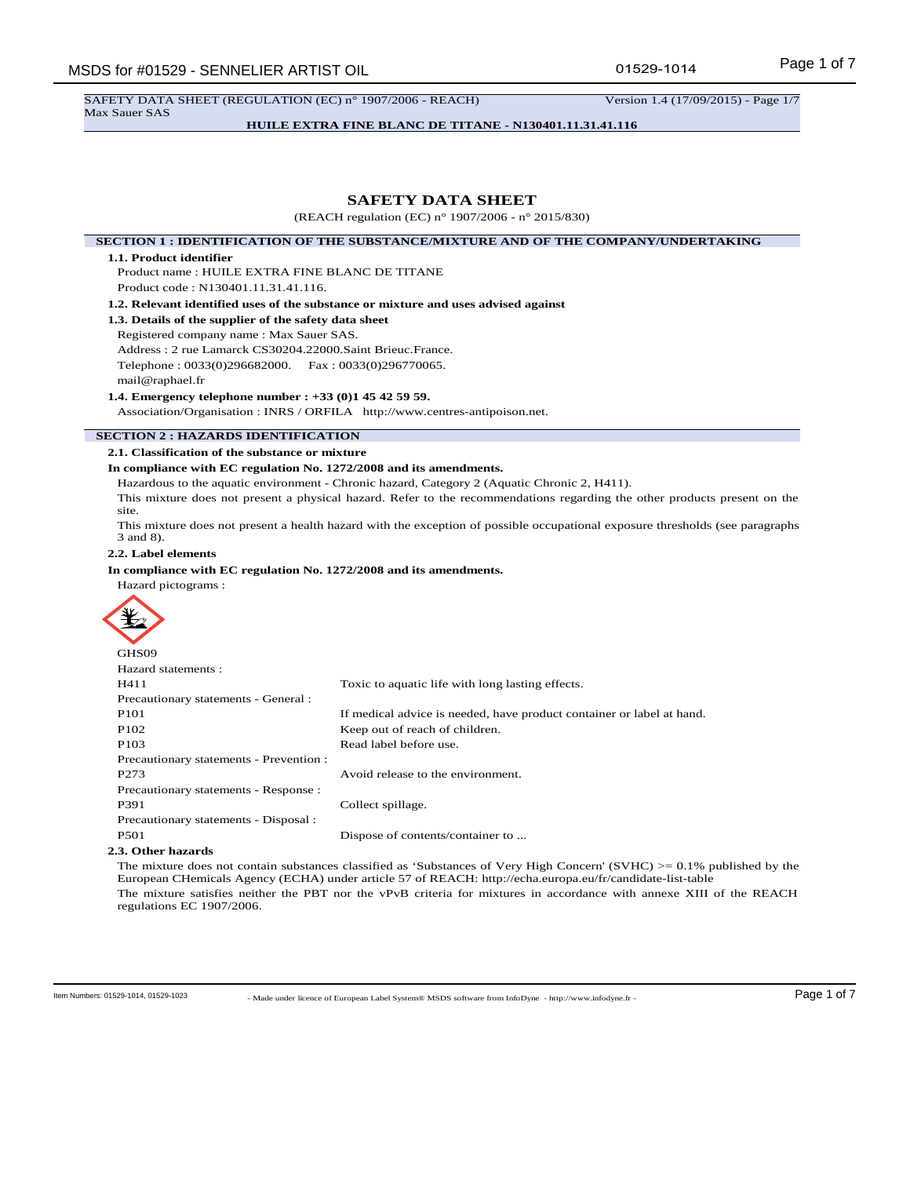SAFETY DATA SHEET (REGULATION (EC) n° 1907/2006 - REACH) Version 1.4 (17/09/2015) - Page 1/7 Max Sauer SAS

**HUILE EXTRA FINE BLANC DE TITANE - N130401.11.31.41.116**

## **SAFETY DATA SHEET**

(REACH regulation (EC) n° 1907/2006 - n° 2015/830)

## **SECTION 1 : IDENTIFICATION OF THE SUBSTANCE/MIXTURE AND OF THE COMPANY/UNDERTAKING**

#### **1.1. Product identifier**

Product name : HUILE EXTRA FINE BLANC DE TITANE

Product code : N130401.11.31.41.116.

**1.2. Relevant identified uses of the substance or mixture and uses advised against**

**1.3. Details of the supplier of the safety data sheet**

Registered company name : Max Sauer SAS. Address : 2 rue Lamarck CS30204.22000.Saint Brieuc.France. Telephone : 0033(0)296682000. Fax : 0033(0)296770065. mail@raphael.fr

**1.4. Emergency telephone number : +33 (0)1 45 42 59 59.**

Association/Organisation : INRS / ORFILA http://www.centres-antipoison.net.

## **SECTION 2 : HAZARDS IDENTIFICATION**

**2.1. Classification of the substance or mixture**

#### **In compliance with EC regulation No. 1272/2008 and its amendments.**

Hazardous to the aquatic environment - Chronic hazard, Category 2 (Aquatic Chronic 2, H411).

This mixture does not present a physical hazard. Refer to the recommendations regarding the other products present on the site.

This mixture does not present a health hazard with the exception of possible occupational exposure thresholds (see paragraphs 3 and 8).

## **2.2. Label elements**

Hazard pictograms :

**In compliance with EC regulation No. 1272/2008 and its amendments.**



| GHS09                                   |                                                                       |
|-----------------------------------------|-----------------------------------------------------------------------|
| Hazard statements :                     |                                                                       |
| H411                                    | Toxic to aquatic life with long lasting effects.                      |
| Precautionary statements - General :    |                                                                       |
| P <sub>101</sub>                        | If medical advice is needed, have product container or label at hand. |
| P <sub>102</sub>                        | Keep out of reach of children.                                        |
| P <sub>103</sub>                        | Read label before use.                                                |
| Precautionary statements - Prevention : |                                                                       |
| P <sub>273</sub>                        | Avoid release to the environment.                                     |
| Precautionary statements - Response :   |                                                                       |
| P391                                    | Collect spillage.                                                     |
| Precautionary statements - Disposal :   |                                                                       |
| P <sub>501</sub>                        | Dispose of contents/container to                                      |
| _____                                   |                                                                       |

#### **2.3. Other hazards**

The mixture does not contain substances classified as 'Substances of Very High Concern' (SVHC) >= 0.1% published by the European CHemicals Agency (ECHA) under article 57 of REACH: http://echa.europa.eu/fr/candidate-list-table The mixture satisfies neither the PBT nor the vPvB criteria for mixtures in accordance with annexe XIII of the REACH regulations EC 1907/2006.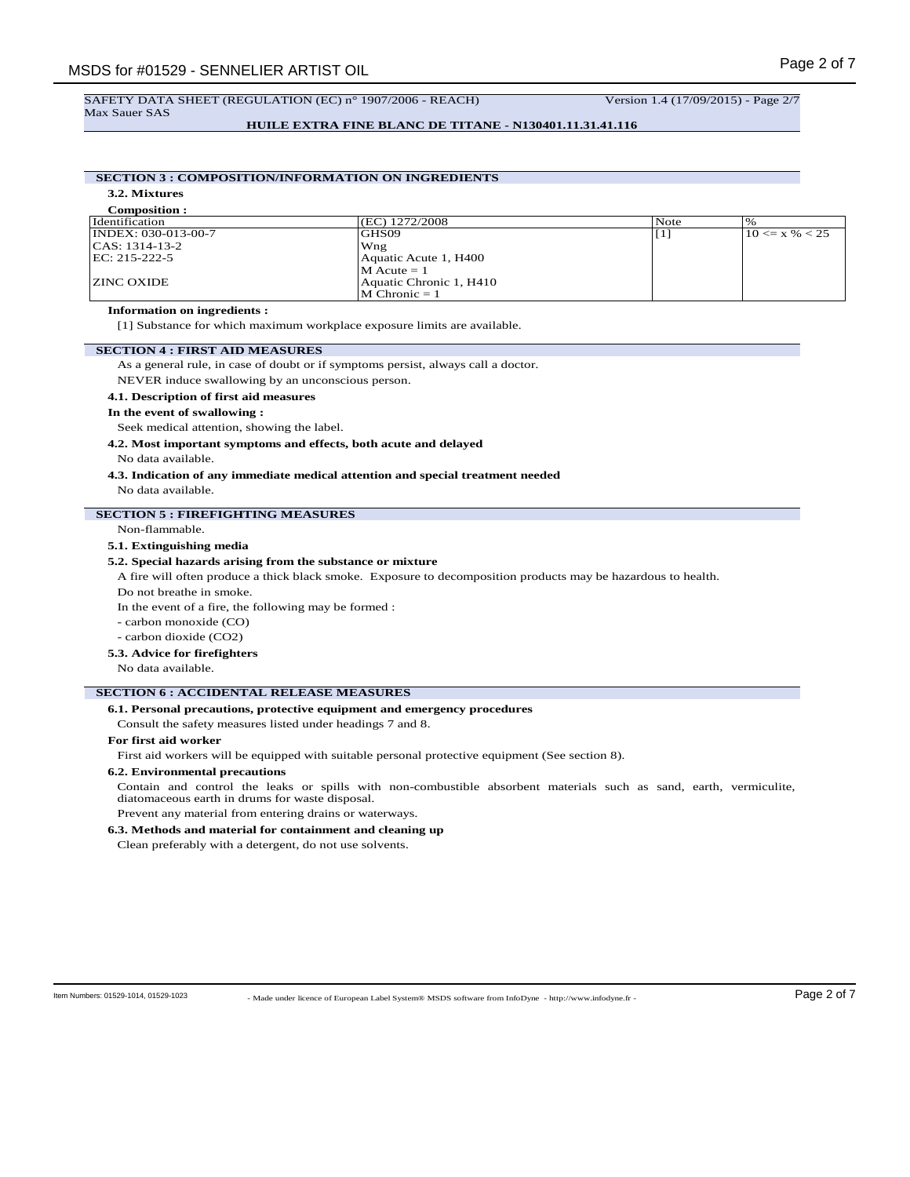#### SAFETY DATA SHEET (REGULATION (EC) n° 1907/2006 - REACH) Version 1.4 (17/09/2015) - Page 2/7 Max Sauer SAS

#### **HUILE EXTRA FINE BLANC DE TITANE - N130401.11.31.41.116**

## **SECTION 3 : COMPOSITION/INFORMATION ON INGREDIENTS**

**3.2. Mixtures**

| <b>Composition:</b>  |                          |      |                    |
|----------------------|--------------------------|------|--------------------|
| <i>dentification</i> | (EC) 1272/2008           | Note | $\%$               |
| INDEX: 030-013-00-7  | GHS09                    | Ή.   | $10 \le x \% < 25$ |
| $ CAS: 1314-13-2$    | Wng                      |      |                    |
| $ EC: 215-222-5$     | Aquatic Acute 1, H400    |      |                    |
|                      | $M$ Acute = 1            |      |                    |
| <b>ZINC OXIDE</b>    | Aquatic Chronic 1, H410  |      |                    |
|                      | $\mathbf{M}$ Chronic = 1 |      |                    |

## **Information on ingredients :**

[1] Substance for which maximum workplace exposure limits are available.

## **SECTION 4 : FIRST AID MEASURES**

As a general rule, in case of doubt or if symptoms persist, always call a doctor.

NEVER induce swallowing by an unconscious person.

**4.1. Description of first aid measures**

#### **In the event of swallowing :**

Seek medical attention, showing the label.

**4.2. Most important symptoms and effects, both acute and delayed**

#### No data available.

**4.3. Indication of any immediate medical attention and special treatment needed**

No data available.

## **SECTION 5 : FIREFIGHTING MEASURES**

Non-flammable.

## **5.1. Extinguishing media**

## **5.2. Special hazards arising from the substance or mixture**

A fire will often produce a thick black smoke. Exposure to decomposition products may be hazardous to health.

Do not breathe in smoke.

In the event of a fire, the following may be formed :

- carbon monoxide (CO)

- carbon dioxide (CO2)

#### **5.3. Advice for firefighters**

No data available.

## **SECTION 6 : ACCIDENTAL RELEASE MEASURES**

## **6.1. Personal precautions, protective equipment and emergency procedures**

Consult the safety measures listed under headings 7 and 8.

#### **For first aid worker**

First aid workers will be equipped with suitable personal protective equipment (See section 8).

#### **6.2. Environmental precautions**

Contain and control the leaks or spills with non-combustible absorbent materials such as sand, earth, vermiculite, diatomaceous earth in drums for waste disposal.

Prevent any material from entering drains or waterways.

## **6.3. Methods and material for containment and cleaning up**

Clean preferably with a detergent, do not use solvents.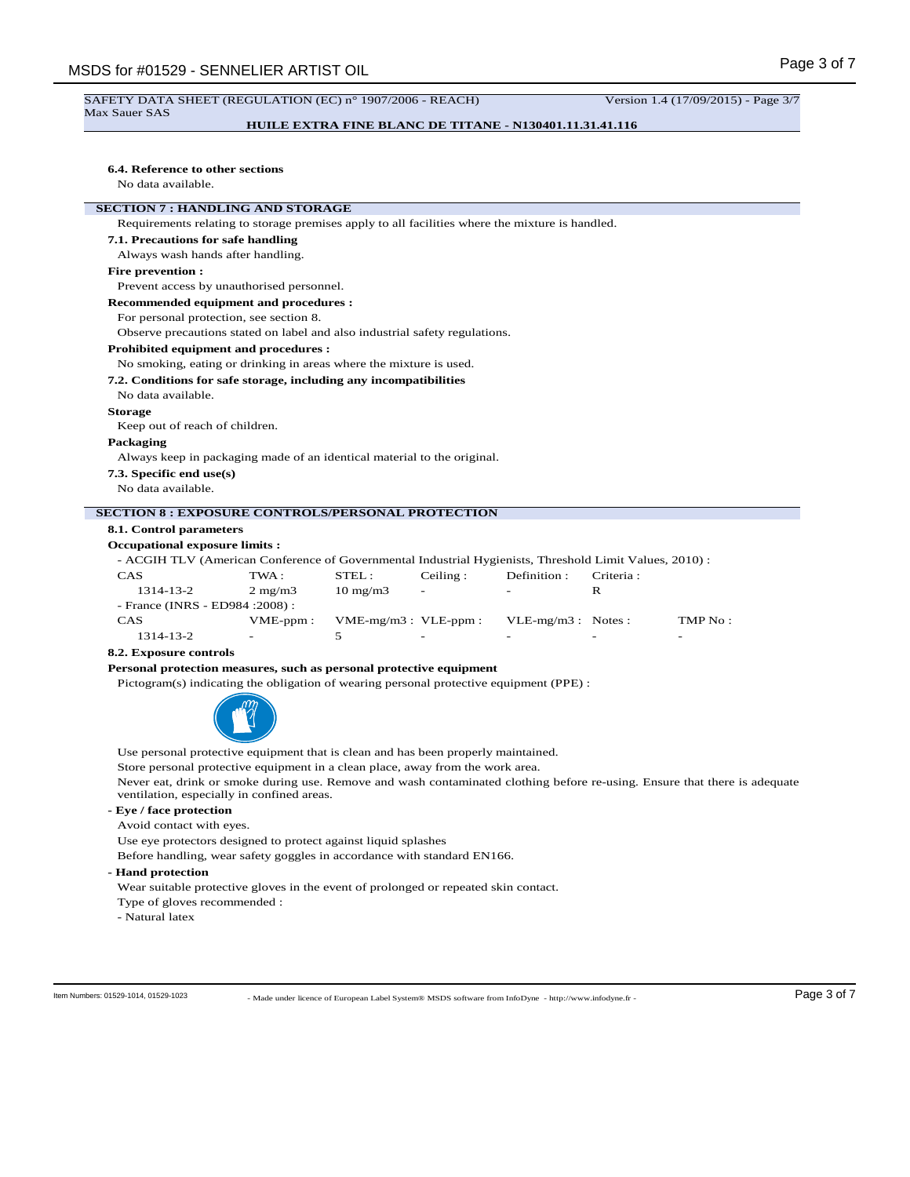#### SAFETY DATA SHEET (REGULATION (EC) n° 1907/2006 - REACH) Version 1.4 (17/09/2015) - Page 3/7 Max Sauer SAS

## **HUILE EXTRA FINE BLANC DE TITANE - N130401.11.31.41.116**

## **6.4. Reference to other sections**

No data available.

## **SECTION 7 : HANDLING AND STORAGE**

Requirements relating to storage premises apply to all facilities where the mixture is handled.

**7.1. Precautions for safe handling**

Always wash hands after handling.

## **Fire prevention :**

Prevent access by unauthorised personnel.

#### **Recommended equipment and procedures :**

For personal protection, see section 8.

Observe precautions stated on label and also industrial safety regulations.

## **Prohibited equipment and procedures :**

#### No smoking, eating or drinking in areas where the mixture is used.

**7.2. Conditions for safe storage, including any incompatibilities**

No data available.

#### **Storage**

Keep out of reach of children.

#### **Packaging**

Always keep in packaging made of an identical material to the original.

**7.3. Specific end use(s)**

No data available.

#### **SECTION 8 : EXPOSURE CONTROLS/PERSONAL PROTECTION**

**8.1. Control parameters**

#### **Occupational exposure limits :**

- ACGIH TLV (American Conference of Governmental Industrial Hygienists, Threshold Limit Values, 2010) :

| CAS                              | TWA :                    | STEL:                     | Ceiling:                 | Definition :             | Criteria :               |         |
|----------------------------------|--------------------------|---------------------------|--------------------------|--------------------------|--------------------------|---------|
| 1314-13-2                        | $2 \text{ mg}/\text{m}$  | $10 \text{ mg/m}$         | $\overline{\phantom{0}}$ | $\overline{\phantom{0}}$ |                          |         |
| - France (INRS - ED984 : 2008) : |                          |                           |                          |                          |                          |         |
| <b>CAS</b>                       | $VME$ -ppm:              | $VME-mg/m3$ : $VLE-ppm$ : |                          | $VLE-mg/m3$ : Notes:     |                          | TMP No: |
| 1314-13-2                        | $\overline{\phantom{a}}$ |                           | -                        | $\overline{\phantom{0}}$ | $\overline{\phantom{0}}$ | -       |

#### **8.2. Exposure controls**

## **Personal protection measures, such as personal protective equipment**

Pictogram(s) indicating the obligation of wearing personal protective equipment (PPE) :



Use personal protective equipment that is clean and has been properly maintained.

Store personal protective equipment in a clean place, away from the work area.

Never eat, drink or smoke during use. Remove and wash contaminated clothing before re-using. Ensure that there is adequate ventilation, especially in confined areas.

## **- Eye / face protection**

Avoid contact with eyes.

Use eye protectors designed to protect against liquid splashes

Before handling, wear safety goggles in accordance with standard EN166.

## **- Hand protection**

Wear suitable protective gloves in the event of prolonged or repeated skin contact.

Type of gloves recommended :

- Natural latex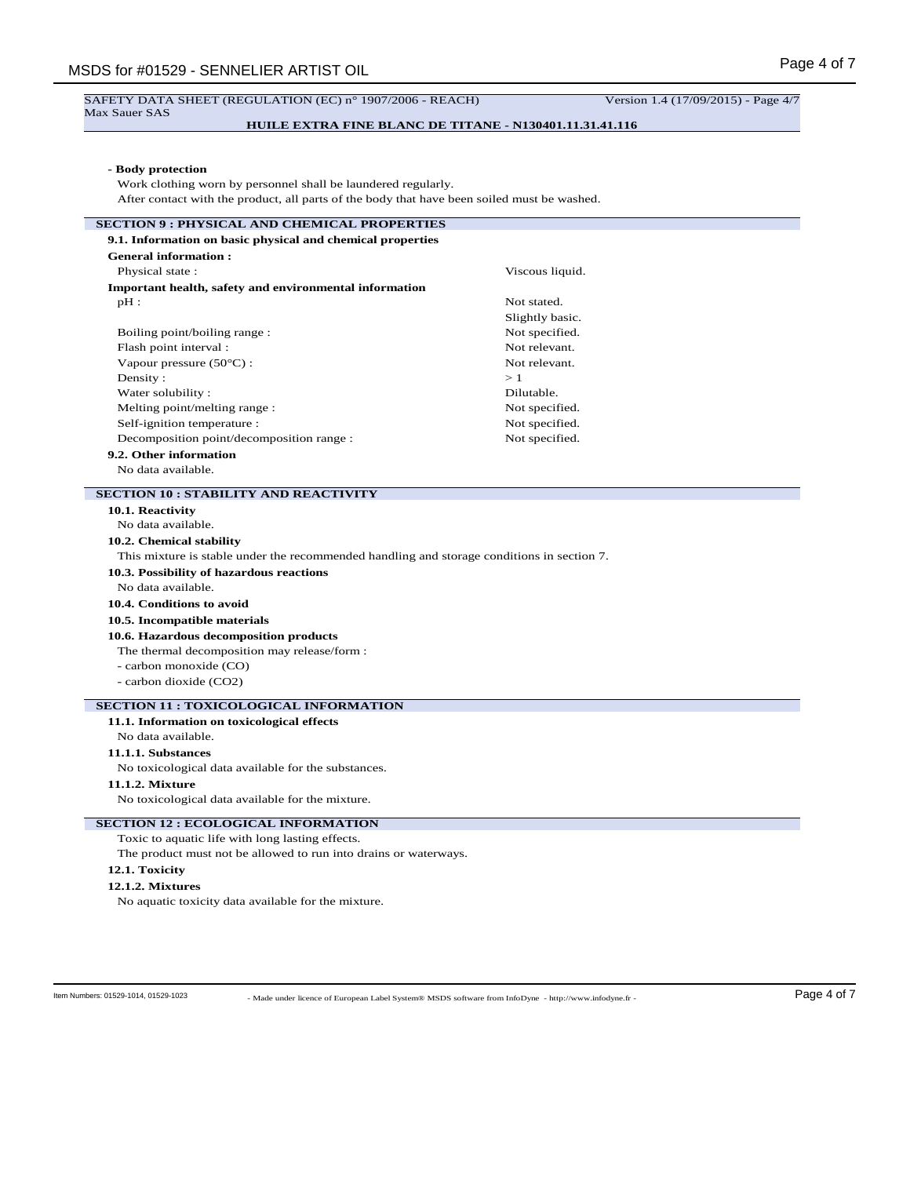Max Sauer SAS

**- Body protection**

Work clothing worn by personnel shall be laundered regularly. After contact with the product, all parts of the body that have been soiled must be washed.

| <b>SECTION 9 : PHYSICAL AND CHEMICAL PROPERTIES</b>                                        |                 |
|--------------------------------------------------------------------------------------------|-----------------|
| 9.1. Information on basic physical and chemical properties                                 |                 |
| <b>General information:</b>                                                                |                 |
| Physical state:                                                                            | Viscous liquid. |
| Important health, safety and environmental information                                     |                 |
| $pH$ :                                                                                     | Not stated.     |
|                                                                                            | Slightly basic. |
| Boiling point/boiling range:                                                               | Not specified.  |
| Flash point interval :                                                                     | Not relevant.   |
| Vapour pressure $(50^{\circ}C)$ :                                                          | Not relevant.   |
| Density:                                                                                   | >1              |
| Water solubility:                                                                          | Dilutable.      |
| Melting point/melting range:                                                               | Not specified.  |
| Self-ignition temperature :                                                                | Not specified.  |
| Decomposition point/decomposition range :                                                  | Not specified.  |
| 9.2. Other information                                                                     |                 |
| No data available.                                                                         |                 |
| <b>SECTION 10 : STABILITY AND REACTIVITY</b>                                               |                 |
| 10.1. Reactivity                                                                           |                 |
| No data available.                                                                         |                 |
| 10.2. Chemical stability                                                                   |                 |
| This mixture is stable under the recommended handling and storage conditions in section 7. |                 |
| 10.3. Possibility of hazardous reactions                                                   |                 |
| No data available.                                                                         |                 |
| 10.4. Conditions to avoid                                                                  |                 |
| 10.5. Incompatible materials                                                               |                 |
| 10.6. Hazardous decomposition products                                                     |                 |
| The thermal decomposition may release/form :                                               |                 |
| - carbon monoxide (CO)                                                                     |                 |
| - carbon dioxide (CO2)                                                                     |                 |
| <b>SECTION 11 : TOXICOLOGICAL INFORMATION</b>                                              |                 |
| 11.1. Information on toxicological effects                                                 |                 |
| No data available.                                                                         |                 |
| 11.1.1. Substances                                                                         |                 |
| No toxicological data available for the substances.                                        |                 |
| 11.1.2. Mixture                                                                            |                 |
| No toxicological data available for the mixture.                                           |                 |
|                                                                                            |                 |
| <b>SECTION 12 : ECOLOGICAL INFORMATION</b>                                                 |                 |

Toxic to aquatic life with long lasting effects.

The product must not be allowed to run into drains or waterways.

## **12.1. Toxicity**

## **12.1.2. Mixtures**

No aquatic toxicity data available for the mixture.

- Made under licence of European Label System® MSDS software from InfoDyne - http://www.infodyne.fr - Item Numbers: 01529-1014, 01529-1023 Page 4 of 7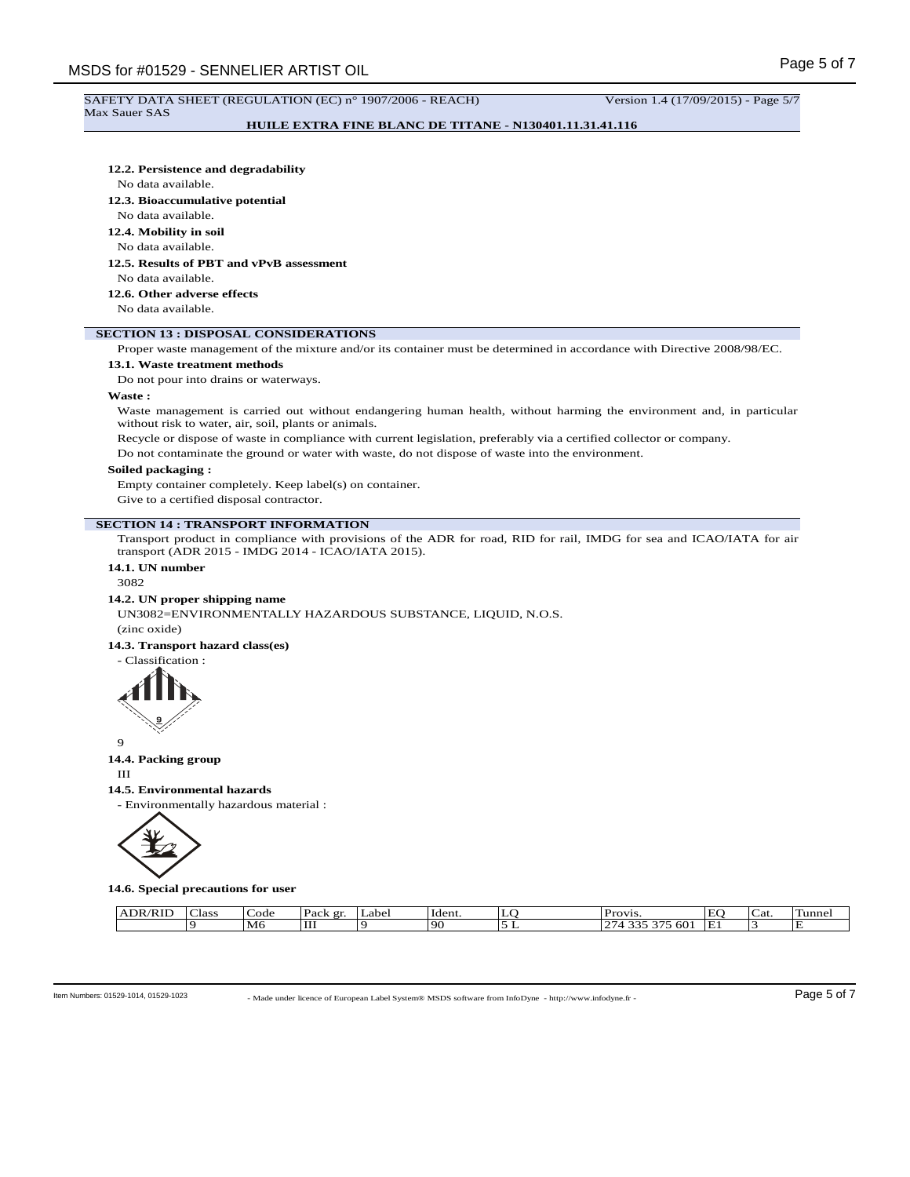#### SAFETY DATA SHEET (REGULATION (EC) n° 1907/2006 - REACH) Version 1.4 (17/09/2015) - Page 5/7 Max Sauer SAS

#### **HUILE EXTRA FINE BLANC DE TITANE - N130401.11.31.41.116**

## **12.2. Persistence and degradability**

No data available.

**12.3. Bioaccumulative potential**

#### No data available.

**12.4. Mobility in soil**

No data available.

**12.5. Results of PBT and vPvB assessment**

No data available.

**12.6. Other adverse effects**

No data available.

## **SECTION 13 : DISPOSAL CONSIDERATIONS**

Proper waste management of the mixture and/or its container must be determined in accordance with Directive 2008/98/EC.

#### **13.1. Waste treatment methods**

Do not pour into drains or waterways.

#### **Waste :**

Waste management is carried out without endangering human health, without harming the environment and, in particular without risk to water, air, soil, plants or animals.

Recycle or dispose of waste in compliance with current legislation, preferably via a certified collector or company.

Do not contaminate the ground or water with waste, do not dispose of waste into the environment.

#### **Soiled packaging :**

Empty container completely. Keep label(s) on container.

Give to a certified disposal contractor.

#### **SECTION 14 : TRANSPORT INFORMATION**

Transport product in compliance with provisions of the ADR for road, RID for rail, IMDG for sea and ICAO/IATA for air transport (ADR 2015 - IMDG 2014 - ICAO/IATA 2015).

#### **14.1. UN number**

3082

#### **14.2. UN proper shipping name**

UN3082=ENVIRONMENTALLY HAZARDOUS SUBSTANCE, LIQUID, N.O.S.

(zinc oxide)

## **14.3. Transport hazard class(es)**

- Classification :



# **14.4. Packing group**

III

#### **14.5. Environmental hazards**

- Environmentally hazardous material :



#### **14.6. Special precautions for user**

| /RII<br>ADR/<br>∸ | Class | _ode | -<br>Pack $g_1$ . | ' Label | Hdent | LU. | Provis.                                            | $\blacksquare$ | $\sim$<br>Cai | Tunne. |
|-------------------|-------|------|-------------------|---------|-------|-----|----------------------------------------------------|----------------|---------------|--------|
|                   |       | M6   | Ш                 |         | 190   |     | $\gamma$<br>60<br>$\sim$ $\sim$ $\sim$<br>$-$<br>∸ | $\sim$<br>∸    |               |        |

- Made under licence of European Label System® MSDS software from InfoDyne - http://www.infodyne.fr - Item Numbers: 01529-1014, 01529-1023 Page 5 of 7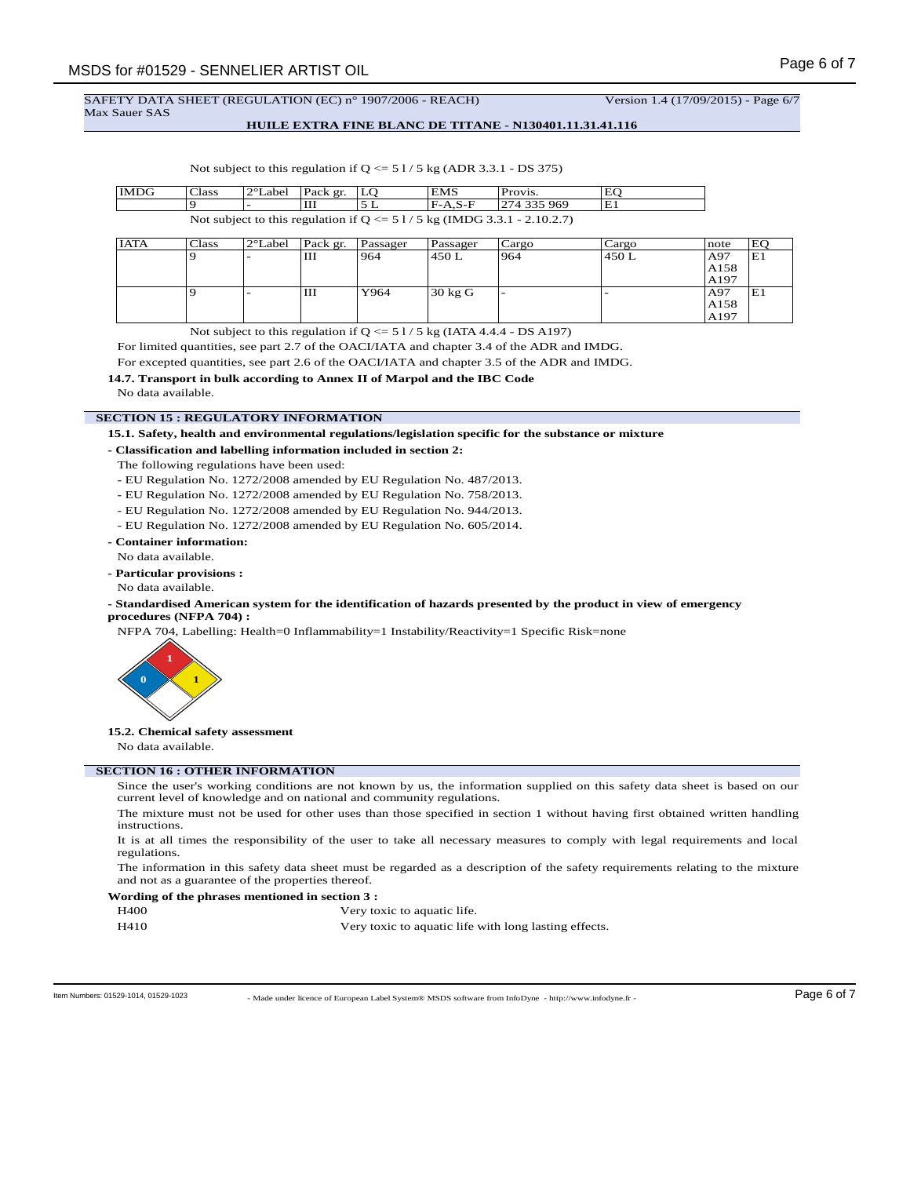#### **HUILE EXTRA FINE BLANC DE TITANE - N130401.11.31.41.116**

Not subject to this regulation if  $Q \le 51/5$  kg (ADR 3.3.1 - DS 375)

| <b>IMDG</b>                                                               | Class | $ 2^{\circ}$ Label Pack gr. $ LO $ |  |  | <b>EMS</b> | Provis.      | EO  |
|---------------------------------------------------------------------------|-------|------------------------------------|--|--|------------|--------------|-----|
|                                                                           |       |                                    |  |  | F-A.S-F    | 1274 335 969 | 'E1 |
| Not subject to this regulation if $Q \le 51/5$ kg (IMDG 3.3.1 - 2.10.2.7) |       |                                    |  |  |            |              |     |

| <b>IATA</b> | Class | 2°Label | Pack gr. | Passager | Passager          | Cargo | Cargo | note | EO          |
|-------------|-------|---------|----------|----------|-------------------|-------|-------|------|-------------|
|             |       |         | Ш        | 964      | 450 L             | 1964  | 450 L | A97  | E1          |
|             |       |         |          |          |                   |       |       | A158 |             |
|             |       |         |          |          |                   |       |       | A197 |             |
|             |       |         | Ш        | Y964     | $30 \text{ kg}$ G |       |       | A97  | $_{\rm E1}$ |
|             |       |         |          |          |                   |       |       | A158 |             |
|             |       |         |          |          |                   |       |       | A197 |             |

Not subject to this regulation if  $Q \le 51/5$  kg (IATA 4.4.4 - DS A197)

For limited quantities, see part 2.7 of the OACI/IATA and chapter 3.4 of the ADR and IMDG.

For excepted quantities, see part 2.6 of the OACI/IATA and chapter 3.5 of the ADR and IMDG.

**14.7. Transport in bulk according to Annex II of Marpol and the IBC Code**

No data available.

## **SECTION 15 : REGULATORY INFORMATION**

**15.1. Safety, health and environmental regulations/legislation specific for the substance or mixture**

- **Classification and labelling information included in section 2:**
- The following regulations have been used:
- EU Regulation No. 1272/2008 amended by EU Regulation No. 487/2013.
- EU Regulation No. 1272/2008 amended by EU Regulation No. 758/2013.
- EU Regulation No. 1272/2008 amended by EU Regulation No. 944/2013.
- EU Regulation No. 1272/2008 amended by EU Regulation No. 605/2014.
- **Container information:**
- No data available.
- **Particular provisions :**
- No data available.
- **Standardised American system for the identification of hazards presented by the product in view of emergency procedures (NFPA 704) :**

NFPA 704, Labelling: Health=0 Inflammability=1 Instability/Reactivity=1 Specific Risk=none



**15.2. Chemical safety assessment**

No data available.

## **SECTION 16 : OTHER INFORMATION**

Since the user's working conditions are not known by us, the information supplied on this safety data sheet is based on our current level of knowledge and on national and community regulations.

The mixture must not be used for other uses than those specified in section 1 without having first obtained written handling instructions.

It is at all times the responsibility of the user to take all necessary measures to comply with legal requirements and local regulations.

The information in this safety data sheet must be regarded as a description of the safety requirements relating to the mixture and not as a guarantee of the properties thereof.

#### **Wording of the phrases mentioned in section 3 :**

H400 Very toxic to aquatic life.

H410 Very toxic to aquatic life with long lasting effects.

- Made under licence of European Label System® MSDS software from InfoDyne - http://www.infodyne.fr - Item Numbers: 01529-1014, 01529-1023 Page 6 of 7